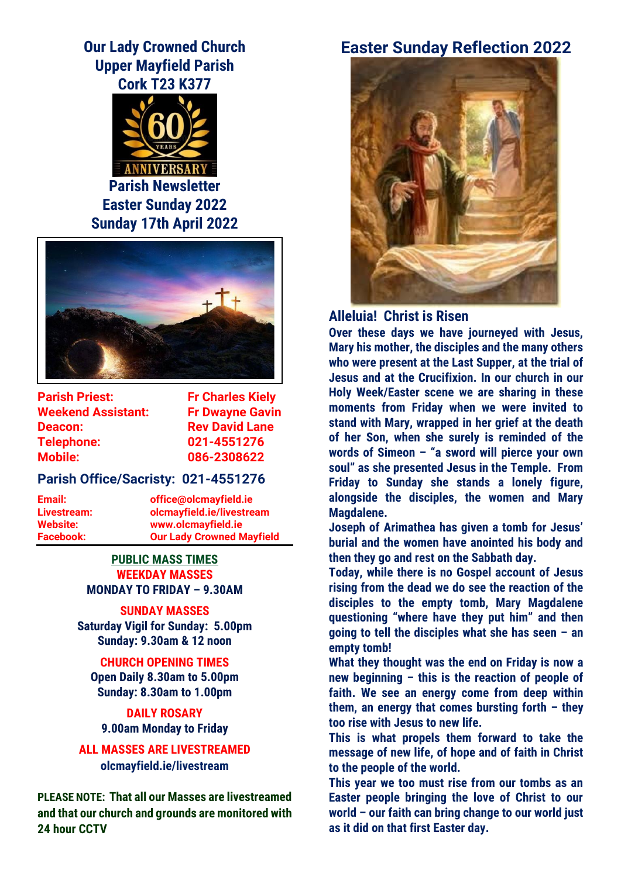# **Our Lady Crowned Church Upper Mayfield Parish Cork T23 K377**



**Parish Newsletter Easter Sunday 2022 Sunday 17th April 2022**



**Parish Priest:** Fr Charles Kiely **Weekend Assistant: Fr Dwayne Gavin Deacon:** Rev David Lane **Telephone: 021-4551276 Mobile: 086-2308622**

### **Parish Office/Sacristy: 021-4551276**

**Email: office@olcmayfield.ie Livestream: olcmayfield.ie/livestream Website: www.olcmayfield.ie Facebook: Our Lady Crowned Mayfield**

### **PUBLIC MASS TIMES WEEKDAY MASSES MONDAY TO FRIDAY – 9.30AM**

**SUNDAY MASSES Saturday Vigil for Sunday: 5.00pm Sunday: 9.30am & 12 noon**

**CHURCH OPENING TIMES Open Daily 8.30am to 5.00pm Sunday: 8.30am to 1.00pm**

**DAILY ROSARY 9.00am Monday to Friday**

**ALL MASSES ARE LIVESTREAMED olcmayfield.ie/livestream**

**PLEASE NOTE: That all our Masses are livestreamed and that our church and grounds are monitored with 24 hour CCTV** 

# **Easter Sunday Reflection 2022**



**Alleluia! Christ is Risen**

**Over these days we have journeyed with Jesus, Mary his mother, the disciples and the many others who were present at the Last Supper, at the trial of Jesus and at the Crucifixion. In our church in our Holy Week/Easter scene we are sharing in these moments from Friday when we were invited to stand with Mary, wrapped in her grief at the death of her Son, when she surely is reminded of the words of Simeon – "a sword will pierce your own soul" as she presented Jesus in the Temple. From Friday to Sunday she stands a lonely figure, alongside the disciples, the women and Mary Magdalene.** 

**Joseph of Arimathea has given a tomb for Jesus' burial and the women have anointed his body and then they go and rest on the Sabbath day.**

**Today, while there is no Gospel account of Jesus rising from the dead we do see the reaction of the disciples to the empty tomb, Mary Magdalene questioning "where have they put him" and then going to tell the disciples what she has seen – an empty tomb!**

**What they thought was the end on Friday is now a new beginning – this is the reaction of people of faith. We see an energy come from deep within them, an energy that comes bursting forth – they too rise with Jesus to new life.**

**This is what propels them forward to take the message of new life, of hope and of faith in Christ to the people of the world.** 

**This year we too must rise from our tombs as an Easter people bringing the love of Christ to our world – our faith can bring change to our world just as it did on that first Easter day.**